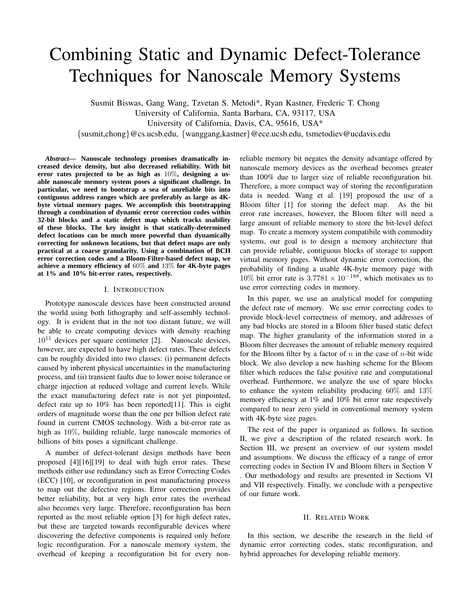# Combining Static and Dynamic Defect-Tolerance Techniques for Nanoscale Memory Systems

Susmit Biswas, Gang Wang, Tzvetan S. Metodi\*, Ryan Kastner, Frederic T. Chong University of California, Santa Barbara, CA, 93117, USA University of California, Davis, CA, 95616, USA\* {susmit,chong}@cs.ucsb.edu, {wanggang,kastner}@ece.ucsb.edu, tsmetodiev@ucdavis.edu

*Abstract***— Nanoscale technology promises dramatically increased device density, but also decreased reliability. With bit error rates projected to be as high as** 10%**, designing a usable nanoscale memory system poses a significant challenge. In particular, we need to bootstrap a sea of unreliable bits into contiguous address ranges which are preferably as large as 4Kbyte virtual memory pages. We accomplish this bootstrapping through a combination of dynamic error correction codes within 32-bit blocks and a static defect map which tracks usability of these blocks. The key insight is that statically-determined defect locations can be much more powerful than dynamically correcting for unknown locations, but that defect maps are only practical at a coarse granularity. Using a combination of BCH error correction codes and a Bloom-Filter-based defect map, we achieve a memory efficiency of** 60% **and** 13% **for 4K-byte pages at 1% and 10% bit-error rates, respectively.**

#### I. INTRODUCTION

Prototype nanoscale devices have been constructed around the world using both lithography and self-assembly technology. It is evident that in the not too distant future, we will be able to create computing devices with density reaching  $10^{11}$  devices per square centimeter [2]. Nanoscale devices, however, are expected to have high defect rates. These defects can be roughly divided into two classes: (i) permanent defects caused by inherent physical uncertainties in the manufacturing process, and (ii) transient faults due to lower noise tolerance or charge injection at reduced voltage and current levels. While the exact manufacturing defect rate is not yet pinpointed, defect rate up to 10% has been reported[11]. This is eight orders of magnitude worse than the one per billion defect rate found in current CMOS technology. With a bit-error rate as high as 10%, building reliable, large nanoscale memories of billions of bits poses a significant challenge.

A number of defect-tolerant design methods have been proposed [4][16][19] to deal with high error rates. These methods either use redundancy such as Error Correcting Codes (ECC) [10], or reconfiguration in post manufacturing process to map out the defective regions. Error correction provides better reliability, but at very high error rates the overhead also becomes very large. Therefore, reconfiguration has been reported as the most reliable option [3] for high defect rates, but these are targeted towards reconfigurable devices where discovering the defective components is required only before logic reconfiguration. For a nanoscale memory system, the overhead of keeping a reconfiguration bit for every nonreliable memory bit negates the density advantage offered by nanoscale memory devices as the overhead becomes greater than 100% due to larger size of reliable reconfiguration bit. Therefore, a more compact way of storing the reconfiguration data is needed. Wang et al. [19] proposed the use of a Bloom filter [1] for storing the defect map. As the bit error rate increases, however, the Bloom filter will need a large amount of reliable memory to store the bit-level defect map. To create a memory system compatibile with commodity systems, our goal is to design a memory architecture that can provide reliable, contiguous blocks of storage to support virtual memory pages. Without dynamic error correction, the probability of finding a usable 4K-byte memory page with 10% bit error rate is  $3.7781 \times 10^{-188}$ , which motivates us to use error correcting codes in memory.

In this paper, we use an analytical model for computing the defect rate of memory. We use error correcting codes to provide block-level correctness of memory, and addresses of any bad blocks are stored in a Bloom filter based static defect map. The higher granularity of the information stored in a Bloom filter decreases the amount of reliable memory required for the Bloom filter by a factor of  $n$  in the case of  $n$ -bit wide block. We also develop a new hashing scheme for the Bloom filter which reduces the false positive rate and computational overhead. Furthermore, we analyze the use of spare blocks to enhance the system reliability producing  $60\%$  and  $13\%$ memory efficiency at 1% and 10% bit error rate respectively compared to near zero yield in conventional memory system with 4K-byte size pages.

The rest of the paper is organized as follows. In section II, we give a description of the related research work. In Section III, we present an overview of our system model and assumptions. We discuss the efficacy of a range of error correcting codes in Section IV and Bloom filters in Section V . Our methodology and results are presented in Sections VI and VII respectively. Finally, we conclude with a perspective of our future work.

#### II. RELATED WORK

In this section, we describe the research in the field of dynamic error correcting codes, static reconfiguration, and hybrid approaches for developing reliable memory.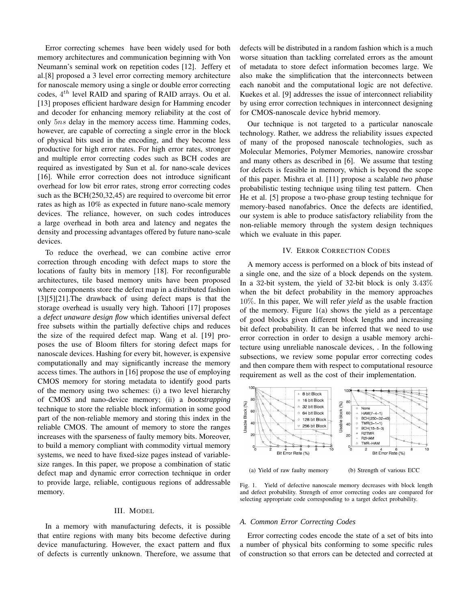Error correcting schemes have been widely used for both memory architectures and communication beginning with Von Neumann's seminal work on repetition codes [12]. Jeffery et al.[8] proposed a 3 level error correcting memory architecture for nanoscale memory using a single or double error correcting codes,  $4^{th}$  level RAID and sparing of RAID arrays. Ou et al. [13] proposes efficient hardware design for Hamming encoder and decoder for enhancing memory reliability at the cost of only 5ns delay in the memory access time. Hamming codes, however, are capable of correcting a single error in the block of physical bits used in the encoding, and they become less productive for high error rates. For high error rates, stronger and multiple error correcting codes such as BCH codes are required as investigated by Sun et al. for nano-scale devices [16]. While error correction does not introduce significant overhead for low bit error rates, strong error correcting codes such as the BCH(250,32,45) are required to overcome bit error rates as high as 10% as expected in future nano-scale memory devices. The reliance, however, on such codes introduces a large overhead in both area and latency and negates the density and processing advantages offered by future nano-scale devices.

To reduce the overhead, we can combine active error correction through encoding with defect maps to store the locations of faulty bits in memory [18]. For reconfigurable architectures, tile based memory units have been proposed where components store the defect map in a distributed fashion [3][5][21].The drawback of using defect maps is that the storage overhead is usually very high. Tahoori [17] proposes a *defect unaware design flow* which identifies universal defect free subsets within the partially defective chips and reduces the size of the required defect map. Wang et al. [19] proposes the use of Bloom filters for storing defect maps for nanoscale devices. Hashing for every bit, however, is expensive computationally and may significantly increase the memory access times. The authors in [16] propose the use of employing CMOS memory for storing metadata to identify good parts of the memory using two schemes: (i) a two level hierarchy of CMOS and nano-device memory; (ii) a *bootstrapping* technique to store the reliable block information in some good part of the non-reliable memory and storing this index in the reliable CMOS. The amount of memory to store the ranges increases with the sparseness of faulty memory bits. Moreover, to build a memory compliant with commodity virtual memory systems, we need to have fixed-size pages instead of variablesize ranges. In this paper, we propose a combination of static defect map and dynamic error correction technique in order to provide large, reliable, contiguous regions of addressable memory.

# III. MODEL

In a memory with manufacturing defects, it is possible that entire regions with many bits become defective during device manufacturing. However, the exact pattern and flux of defects is currently unknown. Therefore, we assume that defects will be distributed in a random fashion which is a much worse situation than tackling correlated errors as the amount of metadata to store defect information becomes large. We also make the simplification that the interconnects between each nanobit and the computational logic are not defective. Kuekes et al. [9] addresses the issue of interconnect reliability by using error correction techniques in interconnect designing for CMOS-nanoscale device hybrid memory.

Our technique is not targeted to a particular nanoscale technology. Rather, we address the reliability issues expected of many of the proposed nanoscale technologies, such as Molecular Memories, Polymer Memories, nanowire crossbar and many others as described in [6]. We assume that testing for defects is feasible in memory, which is beyond the scope of this paper. Mishra et al. [11] propose a scalable *two phase* probabilistic testing technique using tiling test pattern. Chen He et al. [5] propose a two-phase group testing technique for memory-based nanofabrics. Once the defects are identified, our system is able to produce satisfactory reliability from the non-reliable memory through the system design techniques which we evaluate in this paper.

#### IV. ERROR CORRECTION CODES

A memory access is performed on a block of bits instead of a single one, and the size of a block depends on the system. In a 32-bit system, the yield of 32-bit block is only 3.43% when the bit defect probability in the memory approaches 10%. In this paper, We will refer *yield* as the usable fraction of the memory. Figure 1(a) shows the yield as a percentage of good blocks given different block lengths and increasing bit defect probability. It can be inferred that we need to use error correction in order to design a usable memory architecture using unreliable nanoscale devices, . In the following subsections, we review some popular error correcting codes and then compare them with respect to computational resource requirement as well as the cost of their implementation.



Fig. 1. Yield of defective nanoscale memory decreases with block length and defect probability. Strength of error correcting codes are compared for selecting appropriate code corresponding to a target defect probability.

## *A. Common Error Correcting Codes*

Error correcting codes encode the state of a set of bits into a number of physical bits conforming to some specific rules of construction so that errors can be detected and corrected at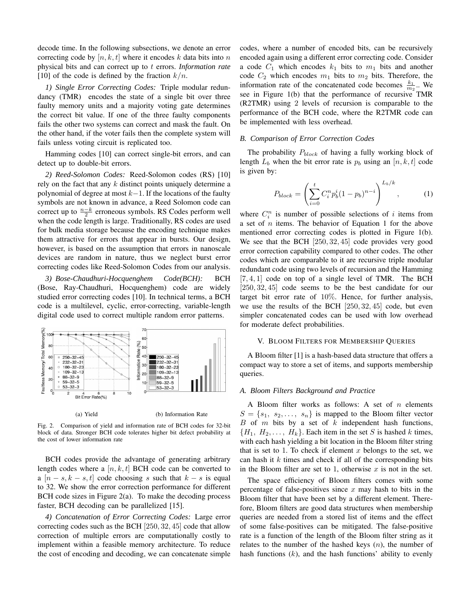decode time. In the following subsections, we denote an error correcting code by  $[n, k, t]$  where it encodes k data bits into n physical bits and can correct up to t errors. *Information rate* [10] of the code is defined by the fraction  $k/n$ .

*1) Single Error Correcting Codes:* Triple modular redundancy (TMR) encodes the state of a single bit over three faulty memory units and a majority voting gate determines the correct bit value. If one of the three faulty components fails the other two systems can correct and mask the fault. On the other hand, if the voter fails then the complete system will fails unless voting circuit is replicated too.

Hamming codes [10] can correct single-bit errors, and can detect up to double-bit errors.

*2) Reed-Solomon Codes:* Reed-Solomon codes (RS) [10] rely on the fact that any  $k$  distinct points uniquely determine a polynomial of degree at most  $k-1$ . If the locations of the faulty symbols are not known in advance, a Reed Solomon code can correct up to  $\frac{n-k}{2}$  erroneous symbols. RS Codes perform well when the code length is large. Traditionally, RS codes are used for bulk media storage because the encoding technique makes them attractive for errors that appear in bursts. Our design, however, is based on the assumption that errors in nanoscale devices are random in nature, thus we neglect burst error correcting codes like Reed-Solomon Codes from our analysis.

*3) Bose-Chaudhuri-Hocquenghem Code(BCH):* BCH (Bose, Ray-Chaudhuri, Hocquenghem) code are widely studied error correcting codes [10]. In technical terms, a BCH code is a multilevel, cyclic, error-correcting, variable-length digital code used to correct multiple random error patterns.



Fig. 2. Comparison of yield and information rate of BCH codes for 32-bit block of data. Stronger BCH code tolerates higher bit defect probability at the cost of lower information rate

BCH codes provide the advantage of generating arbitrary length codes where a  $[n, k, t]$  BCH code can be converted to a  $[n - s, k - s, t]$  code choosing s such that  $k - s$  is equal to 32. We show the error correction performance for different BCH code sizes in Figure 2(a). To make the decoding process faster, BCH decoding can be parallelized [15].

*4) Concatenation of Error Correcting Codes:* Large error correcting codes such as the BCH [250, 32, 45] code that allow correction of multiple errors are computationally costly to implement within a feasible memory architecture. To reduce the cost of encoding and decoding, we can concatenate simple

codes, where a number of encoded bits, can be recursively encoded again using a different error correcting code. Consider a code  $C_1$  which encodes  $k_1$  bits to  $m_1$  bits and another code  $C_2$  which encodes  $m_1$  bits to  $m_2$  bits. Therefore, the information rate of the concatenated code becomes  $\frac{k_1}{m_2}$ . We see in Figure 1(b) that the performance of recursive TMR (R2TMR) using 2 levels of recursion is comparable to the performance of the BCH code, where the R2TMR code can be implemented with less overhead.

# *B. Comparison of Error Correction Codes*

The probability  $P_{block}$  of having a fully working block of length  $L_b$  when the bit error rate is  $p_b$  using an  $[n, k, t]$  code is given by:

$$
P_{block} = \left(\sum_{i=0}^{t} C_i^n p_b^i (1 - p_b)^{n-i}\right)^{L_b/k},\tag{1}
$$

where  $C_i^n$  is number of possible selections of i items from a set of  $n$  items. The behavior of Equation 1 for the above mentioned error correcting codes is plotted in Figure 1(b). We see that the BCH [250, 32, 45] code provides very good error correction capability compared to other codes. The other codes which are comparable to it are recursive triple modular redundant code using two levels of recursion and the Hamming  $[7, 4, 1]$  code on top of a single level of TMR. The BCH [250, 32, 45] code seems to be the best candidate for our target bit error rate of 10%. Hence, for further analysis, we use the results of the BCH [250, 32, 45] code, but even simpler concatenated codes can be used with low overhead for moderate defect probabilities.

# V. BLOOM FILTERS FOR MEMBERSHIP QUERIES

A Bloom filter [1] is a hash-based data structure that offers a compact way to store a set of items, and supports membership queries.

#### *A. Bloom Filters Background and Practice*

A Bloom filter works as follows: A set of  $n$  elements  $S = \{s_1, s_2, \ldots, s_n\}$  is mapped to the Bloom filter vector  $B$  of  $m$  bits by a set of  $k$  independent hash functions,  ${H_1, H_2, \ldots, H_k}$ . Each item in the set S is hashed k times, with each hash yielding a bit location in the Bloom filter string that is set to 1. To check if element x belongs to the set, we can hash it  $k$  times and check if all of the corresponding bits in the Bloom filter are set to 1, otherwise  $x$  is not in the set.

The space efficiency of Bloom filters comes with some percentage of false-positives since  $x$  may hash to bits in the Bloom filter that have been set by a different element. Therefore, Bloom filters are good data structures when membership queries are needed from a stored list of items and the effect of some false-positives can be mitigated. The false-positive rate is a function of the length of the Bloom filter string as it relates to the number of the hashed keys  $(n)$ , the number of hash functions  $(k)$ , and the hash functions' ability to evenly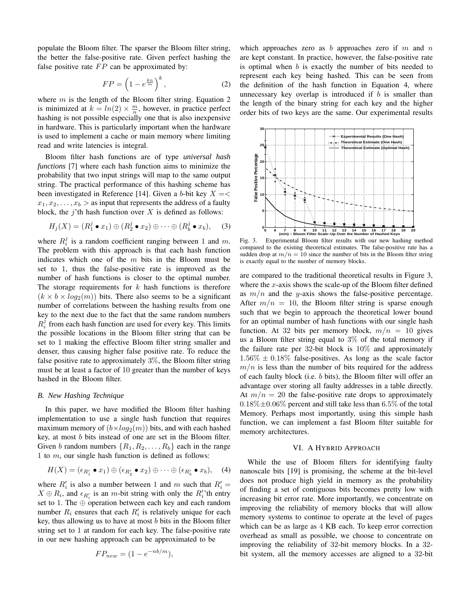populate the Bloom filter. The sparser the Bloom filter string, the better the false-positive rate. Given perfect hashing the false positive rate  $FP$  can be approximated by:

$$
FP = \left(1 - e^{\frac{kn}{m}}\right)^k,\tag{2}
$$

where  $m$  is the length of the Bloom filter string. Equation 2 is minimized at  $k = ln(2) \times \frac{m}{n}$ , however, in practice perfect hashing is not possible especially one that is also inexpensive in hardware. This is particularly important when the hardware is used to implement a cache or main memory where limiting read and write latencies is integral.

Bloom filter hash functions are of type *universal hash functions* [7] where each hash function aims to minimize the probability that two input strings will map to the same output string. The practical performance of this hashing scheme has been investigated in Reference [14]. Given a b-bit key  $X = \lt$  $x_1, x_2, \ldots, x_b >$  as input that represents the address of a faulty block, the j'th hash function over  $X$  is defined as follows:

$$
H_j(X) = (R_1^j \bullet x_1) \oplus (R_2^j \bullet x_2) \oplus \cdots \oplus (R_b^j \bullet x_b), \quad (3)
$$

where  $R_i^j$  is a random coefficient ranging between 1 and m. The problem with this approach is that each hash function indicates which one of the  $m$  bits in the Bloom must be set to 1, thus the false-positive rate is improved as the number of hash functions is closer to the optimal number. The storage requirements for  $k$  hash functions is therefore  $(k \times b \times log_2(m))$  bits. There also seems to be a significant number of correlations between the hashing results from one key to the next due to the fact that the same random numbers  $R_i^j$  from each hash function are used for every key. This limits the possible locations in the Bloom filter string that can be set to 1 making the effective Bloom filter string smaller and denser, thus causing higher false positive rate. To reduce the false positive rate to approximately  $3\%$ , the Bloom filter string must be at least a factor of 10 greater than the number of keys hashed in the Bloom filter.

# *B. New Hashing Technique*

In this paper, we have modified the Bloom filter hashing implementation to use a single hash function that requires maximum memory of  $(b \times log_2(m))$  bits, and with each hashed key, at most b bits instead of one are set in the Bloom filter. Given b random numbers  $\{R_1, R_2, \ldots, R_b\}$  each in the range 1 to m, our single hash function is defined as follows:

$$
H(X)=(\epsilon_{R'_1}\bullet x_1)\oplus (\epsilon_{R'_2}\bullet x_2)\oplus \cdots \oplus (\epsilon_{R'_b}\bullet x_b),\quad \text{(4)}
$$

where  $R'_i$  is also a number between 1 and m such that  $R'_i =$  $X \oplus R_i$ , and  $\epsilon_{R'_i}$  is an m-bit string with only the  $R'_i$ 'th entry set to 1. The ⊕ operation between each key and each random number  $R_i$  ensures that each  $R'_i$  is relatively unique for each key, thus allowing us to have at most  $b$  bits in the Bloom filter string set to 1 at random for each key. The false-positive rate in our new hashing approach can be approximated to be

$$
FP_{new} = (1 - e^{-nb/m}),
$$

which approaches zero as b approaches zero if m and n are kept constant. In practice, however, the false-positive rate is optimal when  $b$  is exactly the number of bits needed to represent each key being hashed. This can be seen from the definition of the hash function in Equation 4, where unnecessary key overlap is introduced if  $b$  is smaller than the length of the binary string for each key and the higher order bits of two keys are the same. Our experimental results



Fig. 3. Experimental Bloom filter results with our new hashing method compared to the existing theoretical estimates. The false-positive rate has a sudden drop at  $m/n = 10$  since the number of bits in the Bloom filter string is exactly equal to the number of memory blocks.

are compared to the traditional theoretical results in Figure 3, where the  $x$ -axis shows the scale-up of the Bloom filter defined as  $m/n$  and the y-axis shows the false-positive percentage. After  $m/n = 10$ , the Bloom filter string is sparse enough such that we begin to approach the theoretical lower bound for an optimal number of hash functions with our single hash function. At 32 bits per memory block,  $m/n = 10$  gives us a Bloom filter string equal to  $3\%$  of the total memory if the failure rate per 32-bit block is 10% and approximately  $1.56\% \pm 0.18\%$  false-positives. As long as the scale factor  $m/n$  is less than the number of bits required for the address of each faulty block (i.e.  $b$  bits), the Bloom filter will offer an advantage over storing all faulty addresses in a table directly. At  $m/n = 20$  the false-positive rate drops to approximately  $0.18\% \pm 0.06\%$  percent and still take less than 6.5% of the total Memory. Perhaps most importantly, using this simple hash function, we can implement a fast Bloom filter suitable for memory architectures.

## VI. A HYBRID APPROACH

While the use of Bloom filters for identifying faulty nanoscale bits [19] is promising, the scheme at the bit-level does not produce high yield in memory as the probability of finding a set of contiguous bits becomes pretty low with increasing bit error rate. More importantly, we concentrate on improving the reliability of memory blocks that will allow memory systems to continue to operate at the level of pages which can be as large as 4 KB each. To keep error correction overhead as small as possible, we choose to concentrate on improving the reliability of 32-bit memory blocks. In a 32 bit system, all the memory accesses are aligned to a 32-bit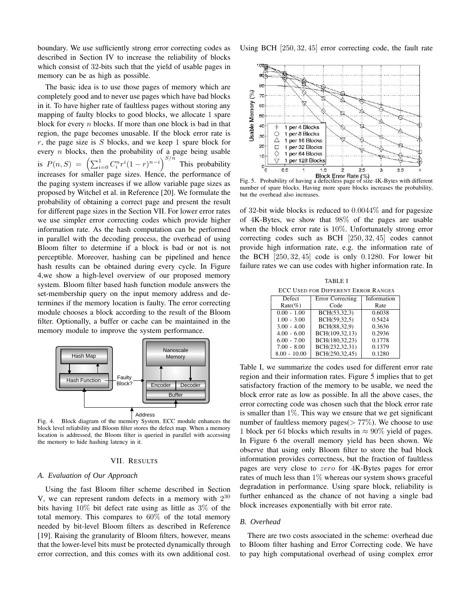boundary. We use sufficiently strong error correcting codes as described in Section IV to increase the reliability of blocks which consist of 32-bits such that the yield of usable pages in memory can be as high as possible.

The basic idea is to use those pages of memory which are completely good and to never use pages which have bad blocks in it. To have higher rate of faultless pages without storing any mapping of faulty blocks to good blocks, we allocate 1 spare block for every  $n$  blocks. If more than one block is bad in that region, the page becomes unusable. If the block error rate is  $r$ , the page size is  $S$  blocks, and we keep 1 spare block for every  $n$  blocks, then the probability of a page being usable is  $P(n, S) = \left(\sum_{i=0}^{1} C_i^n r^i (1-r)^{n-i}\right)^{S/n}$  This probability increases for smaller page sizes. Hence, the performance of the paging system increases if we allow variable page sizes as proposed by Witchel et al. in Reference [20]. We formulate the probability of obtaining a correct page and present the result for different page sizes in the Section VII. For lower error rates we use simpler error correcting codes which provide higher information rate. As the hash computation can be performed in parallel with the decoding process, the overhead of using Bloom filter to determine if a block is bad or not is not perceptible. Moreover, hashing can be pipelined and hence hash results can be obtained during every cycle. In Figure 4,we show a high-level overview of our proposed memory system. Bloom filter based hash function module answers the set-membership query on the input memory address and determines if the memory location is faulty. The error correcting module chooses a block according to the result of the Bloom filter. Optionally, a buffer or cache can be maintained in the memory module to improve the system performance.



Fig. 4. Block diagram of the memory System. ECC module enhances the block level reliability and Bloom filter stores the defect map. When a memory location is addressed, the Bloom filter is queried in parallel with accessing the memory to hide hashing latency in it.

# VII. RESULTS

# *A. Evaluation of Our Approach*

Using the fast Bloom filter scheme described in Section V, we can represent random defects in a memory with  $2^{30}$ bits having 10% bit defect rate using as little as 3% of the total memory. This compares to 60% of the total memory needed by bit-level Bloom filters as described in Reference [19]. Raising the granularity of Bloom filters, however, means that the lower-level bits must be protected dynamically through error correction, and this comes with its own additional cost. Using BCH [250, 32, 45] error correcting code, the fault rate



Fig. 5. Probability of having a defectless page of size 4K-Bytes with different number of spare blocks. Having more spare blocks increases the probability, but the overhead also increases.

of 32-bit wide blocks is reduced to 0.0044% and for pagesize of 4K-Bytes, we show that 98% of the pages are usable when the block error rate is 10%. Unfortunately strong error correcting codes such as BCH [250, 32, 45] codes cannot provide high information rate, e.g. the information rate of the BCH  $[250, 32, 45]$  code is only 0.1280. For lower bit failure rates we can use codes with higher information rate. In

|                                            | <b>TABLE I</b> |                  |             |  |
|--------------------------------------------|----------------|------------------|-------------|--|
| <b>ECC USED FOR DIFFERENT ERROR RANGES</b> |                |                  |             |  |
|                                            | Defect         | Error Correcting | Information |  |
|                                            | $Rate(\%)$     | Code             | Rate        |  |
|                                            | $0.00 - 1.00$  | BCH(53,32,3)     | 0.6038      |  |
|                                            | $1.00 - 3.00$  | BCH(59,32,5)     | 0.5424      |  |
|                                            | $3.00 - 4.00$  | BCH(88,32,9)     | 0.3636      |  |
|                                            | $4.00 - 6.00$  | BCH(109,32,13)   | 0.2936      |  |
|                                            | $6.00 - 7.00$  | BCH(180,32,23)   | 0.1778      |  |
|                                            | $7.00 - 8.00$  | BCH(232,32,31)   | 0.1379      |  |
|                                            | $8.00 - 10.00$ | BCH(250,32,45)   | 0.1280      |  |

Table I, we summarize the codes used for different error rate region and their information rates. Figure 5 implies that to get satisfactory fraction of the memory to be usable, we need the block error rate as low as possible. In all the above cases, the error correcting code was chosen such that the block error rate is smaller than  $1\%$ . This way we ensure that we get significant number of faultless memory pages( $> 77\%$ ). We choose to use 1 block per 64 blocks which results in  $\approx 90\%$  yield of pages. In Figure 6 the overall memory yield has been shown. We observe that using only Bloom filter to store the bad block information provides correctness, but the fraction of faultless pages are very close to zero for 4K-Bytes pages for error rates of much less than 1% whereas our system shows graceful degradation in performance. Using spare block, reliability is further enhanced as the chance of not having a single bad block increases exponentially with bit error rate.

## *B. Overhead*

There are two costs associated in the scheme: overhead due to Bloom filter hashing and Error Correcting code. We have to pay high computational overhead of using complex error